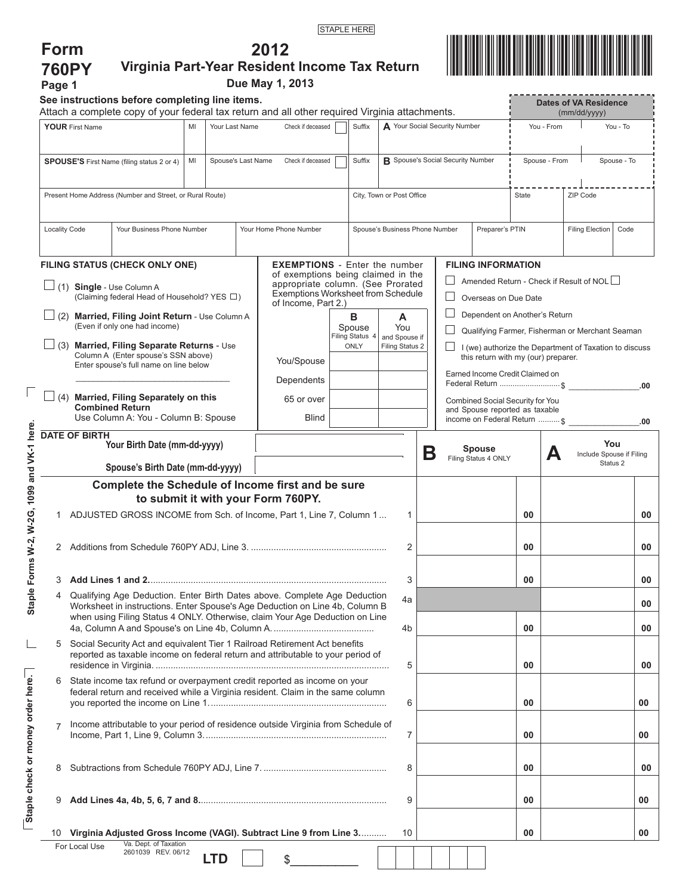**2012** 



| <b>760PY</b><br>Page 1                                                        |                                                                                                                                                               |                                                                                                                                                  |  |            |  | Virginia Part-Year Resident Income Tax Return<br>Due May 1, 2013                               |                                                                            |                                         |                                                                    |   |    |                 |                                       |                                     |                                                                                  |            |                                                        |          |  |  |
|-------------------------------------------------------------------------------|---------------------------------------------------------------------------------------------------------------------------------------------------------------|--------------------------------------------------------------------------------------------------------------------------------------------------|--|------------|--|------------------------------------------------------------------------------------------------|----------------------------------------------------------------------------|-----------------------------------------|--------------------------------------------------------------------|---|----|-----------------|---------------------------------------|-------------------------------------|----------------------------------------------------------------------------------|------------|--------------------------------------------------------|----------|--|--|
|                                                                               |                                                                                                                                                               | See instructions before completing line items.<br>Attach a complete copy of your federal tax return and all other required Virginia attachments. |  |            |  |                                                                                                |                                                                            |                                         |                                                                    |   |    |                 |                                       |                                     |                                                                                  |            | <b>Dates of VA Residence</b><br>(mm/dd/yyyy)           |          |  |  |
| <b>YOUR First Name</b><br>MI<br>Your Last Name                                |                                                                                                                                                               |                                                                                                                                                  |  |            |  | Check if deceased                                                                              |                                                                            | A Your Social Security Number<br>Suffix |                                                                    |   |    |                 |                                       |                                     |                                                                                  | You - From |                                                        | You - To |  |  |
| MI<br>Spouse's Last Name<br><b>SPOUSE'S</b> First Name (filing status 2 or 4) |                                                                                                                                                               |                                                                                                                                                  |  |            |  | Check if deceased                                                                              | Suffix                                                                     |                                         | <b>B</b> Spouse's Social Security Number                           |   |    |                 |                                       |                                     | Spouse - From                                                                    |            | Spouse - To                                            |          |  |  |
| Present Home Address (Number and Street, or Rural Route)                      |                                                                                                                                                               |                                                                                                                                                  |  |            |  |                                                                                                | City, Town or Post Office                                                  |                                         |                                                                    |   |    |                 | State                                 |                                     | ZIP Code                                                                         |            |                                                        |          |  |  |
|                                                                               | <b>Locality Code</b><br>Your Business Phone Number                                                                                                            |                                                                                                                                                  |  |            |  | Your Home Phone Number                                                                         | Spouse's Business Phone Number                                             |                                         |                                                                    |   |    | Preparer's PTIN |                                       |                                     | <b>Filing Election</b>                                                           | Code       |                                                        |          |  |  |
|                                                                               | FILING STATUS (CHECK ONLY ONE)                                                                                                                                |                                                                                                                                                  |  |            |  |                                                                                                | <b>EXEMPTIONS</b> - Enter the number<br>of exemptions being claimed in the |                                         |                                                                    |   |    |                 |                                       |                                     | <b>FILING INFORMATION</b>                                                        |            |                                                        |          |  |  |
|                                                                               | $\Box$ (1) Single - Use Column A<br>(Claiming federal Head of Household? YES □)                                                                               |                                                                                                                                                  |  |            |  | appropriate column. (See Prorated<br>Exemptions Worksheet from Schedule<br>of Income, Part 2.) |                                                                            |                                         |                                                                    |   |    |                 |                                       |                                     | Amended Return - Check if Result of NOL $\Box$<br>Overseas on Due Date           |            |                                                        |          |  |  |
|                                                                               |                                                                                                                                                               | (2) Married, Filing Joint Return - Use Column A<br>(Even if only one had income)                                                                 |  |            |  |                                                                                                |                                                                            | в<br>Spouse                             | A<br>You                                                           |   |    |                 |                                       |                                     | Dependent on Another's Return<br>Qualifying Farmer, Fisherman or Merchant Seaman |            |                                                        |          |  |  |
|                                                                               | $\Box$ (3) Married, Filing Separate Returns - Use<br>Column A (Enter spouse's SSN above)<br>Enter spouse's full name on line below                            |                                                                                                                                                  |  |            |  | You/Spouse                                                                                     | Filing Status 4<br>and Spouse if<br>ONLY<br>Filing Status 2                |                                         |                                                                    |   |    |                 |                                       | this return with my (our) preparer. |                                                                                  |            | I (we) authorize the Department of Taxation to discuss |          |  |  |
|                                                                               |                                                                                                                                                               |                                                                                                                                                  |  |            |  | Dependents                                                                                     |                                                                            |                                         |                                                                    |   |    |                 |                                       |                                     | Earned Income Credit Claimed on                                                  |            | Federal Return  \$                                     | .00      |  |  |
|                                                                               |                                                                                                                                                               | (4) Married, Filing Separately on this<br><b>Combined Return</b><br>Use Column A: You - Column B: Spouse                                         |  |            |  | 65 or over                                                                                     |                                                                            |                                         | Combined Social Security for You<br>and Spouse reported as taxable |   |    |                 |                                       |                                     |                                                                                  |            |                                                        |          |  |  |
|                                                                               | <b>DATE OF BIRTH</b>                                                                                                                                          |                                                                                                                                                  |  |            |  | Blind                                                                                          |                                                                            |                                         |                                                                    |   |    |                 |                                       |                                     | income on Federal Return  \$                                                     |            |                                                        | .00      |  |  |
| Your Birth Date (mm-dd-yyyy)<br>Spouse's Birth Date (mm-dd-yyyy)              |                                                                                                                                                               |                                                                                                                                                  |  |            |  |                                                                                                |                                                                            |                                         |                                                                    | Β |    |                 | <b>Spouse</b><br>Filing Status 4 ONLY |                                     | А                                                                                |            | You<br>Include Spouse if Filing<br>Status 2            |          |  |  |
|                                                                               |                                                                                                                                                               | Complete the Schedule of Income first and be sure                                                                                                |  |            |  |                                                                                                |                                                                            |                                         |                                                                    |   |    |                 |                                       |                                     |                                                                                  |            |                                                        |          |  |  |
|                                                                               |                                                                                                                                                               |                                                                                                                                                  |  |            |  | to submit it with your Form 760PY.                                                             |                                                                            |                                         |                                                                    |   |    |                 |                                       |                                     |                                                                                  |            |                                                        |          |  |  |
| 1                                                                             |                                                                                                                                                               | ADJUSTED GROSS INCOME from Sch. of Income, Part 1, Line 7, Column 1                                                                              |  |            |  |                                                                                                |                                                                            |                                         |                                                                    | 1 |    |                 |                                       |                                     | 00                                                                               |            |                                                        | 00       |  |  |
|                                                                               |                                                                                                                                                               |                                                                                                                                                  |  |            |  |                                                                                                |                                                                            |                                         |                                                                    | 2 |    |                 |                                       |                                     | 00                                                                               |            |                                                        | 00       |  |  |
| 3                                                                             | Add Lines 1 and 2………………………………………………………………………………                                                                                                               |                                                                                                                                                  |  |            |  |                                                                                                |                                                                            |                                         |                                                                    | 3 |    |                 |                                       |                                     | 00                                                                               |            |                                                        | 00       |  |  |
| 4                                                                             | Qualifying Age Deduction. Enter Birth Dates above. Complete Age Deduction<br>Worksheet in instructions. Enter Spouse's Age Deduction on Line 4b, Column B     |                                                                                                                                                  |  |            |  |                                                                                                |                                                                            |                                         | 4a                                                                 |   |    |                 |                                       |                                     |                                                                                  |            |                                                        | 00       |  |  |
| when using Filing Status 4 ONLY. Otherwise, claim Your Age Deduction on Line  |                                                                                                                                                               |                                                                                                                                                  |  |            |  |                                                                                                |                                                                            |                                         | 4b                                                                 |   |    |                 |                                       | 00                                  |                                                                                  |            | 00                                                     |          |  |  |
| 5                                                                             | Social Security Act and equivalent Tier 1 Railroad Retirement Act benefits<br>reported as taxable income on federal return and attributable to your period of |                                                                                                                                                  |  |            |  |                                                                                                |                                                                            |                                         |                                                                    | 5 |    |                 |                                       |                                     | 00                                                                               |            |                                                        | 00       |  |  |
| 6                                                                             | State income tax refund or overpayment credit reported as income on your<br>federal return and received while a Virginia resident. Claim in the same column   |                                                                                                                                                  |  |            |  |                                                                                                |                                                                            |                                         |                                                                    | 6 |    |                 |                                       |                                     | 00                                                                               |            |                                                        | 00       |  |  |
| $\overline{7}$                                                                | Income attributable to your period of residence outside Virginia from Schedule of                                                                             |                                                                                                                                                  |  |            |  |                                                                                                |                                                                            |                                         |                                                                    | 7 |    |                 |                                       |                                     | 00                                                                               |            |                                                        | 00       |  |  |
| 8                                                                             |                                                                                                                                                               |                                                                                                                                                  |  |            |  | 8                                                                                              |                                                                            |                                         |                                                                    |   | 00 |                 |                                       | 00                                  |                                                                                  |            |                                                        |          |  |  |
| 9                                                                             |                                                                                                                                                               |                                                                                                                                                  |  |            |  |                                                                                                |                                                                            |                                         |                                                                    | 9 |    |                 |                                       |                                     | 00                                                                               |            |                                                        | 00       |  |  |
|                                                                               |                                                                                                                                                               | 10 Virginia Adjusted Gross Income (VAGI). Subtract Line 9 from Line 3                                                                            |  |            |  |                                                                                                |                                                                            |                                         | 10                                                                 |   |    |                 |                                       |                                     | 00                                                                               |            |                                                        | 00       |  |  |
|                                                                               | For Local Use                                                                                                                                                 | Va. Dept. of Taxation<br>2601039 REV. 06/12                                                                                                      |  | <b>LTD</b> |  | \$                                                                                             |                                                                            |                                         |                                                                    |   |    |                 |                                       |                                     |                                                                                  |            |                                                        |          |  |  |

**Staple Forms W-2, W-2G, 1099 and VK-1 here.**

Staple Forms W-2, W-2G, 1099 and VK-1 here.

 $\overline{\Gamma}$ 

**Staple check or money order here.**

Staple check or money order here.

 $\Box$